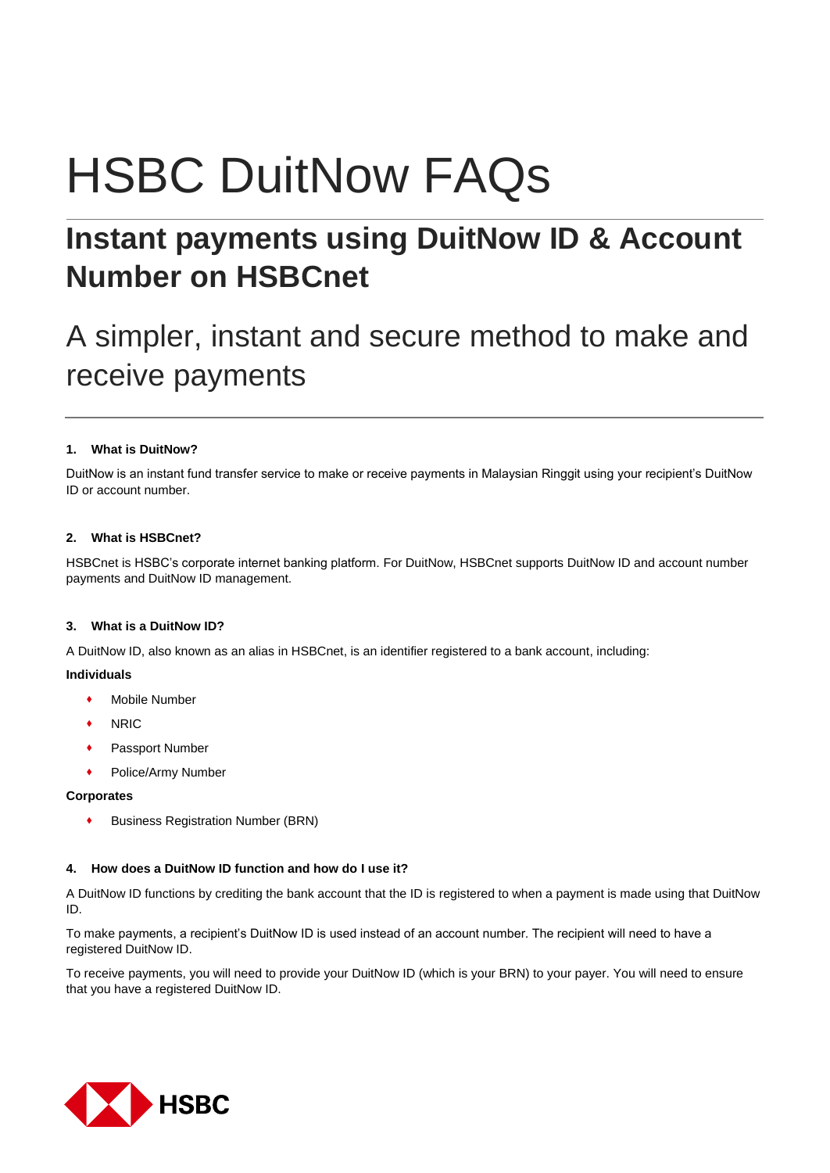# HSBC DuitNow FAQs

# **Instant payments using DuitNow ID & Account Number on HSBCnet**

# A simpler, instant and secure method to make and receive payments

# **1. What is DuitNow?**

DuitNow is an instant fund transfer service to make or receive payments in Malaysian Ringgit using your recipient's DuitNow ID or account number.

# **2. What is HSBCnet?**

HSBCnet is HSBC's corporate internet banking platform. For DuitNow, HSBCnet supports DuitNow ID and account number payments and DuitNow ID management.

# **3. What is a DuitNow ID?**

A DuitNow ID, also known as an alias in HSBCnet, is an identifier registered to a bank account, including:

# **Individuals**

- Mobile Number
- NRIC
- Passport Number
- Police/Army Number

# **Corporates**

Business Registration Number (BRN)

# **4. How does a DuitNow ID function and how do I use it?**

A DuitNow ID functions by crediting the bank account that the ID is registered to when a payment is made using that DuitNow ID.

To make payments, a recipient's DuitNow ID is used instead of an account number. The recipient will need to have a registered DuitNow ID.

To receive payments, you will need to provide your DuitNow ID (which is your BRN) to your payer. You will need to ensure that you have a registered DuitNow ID.

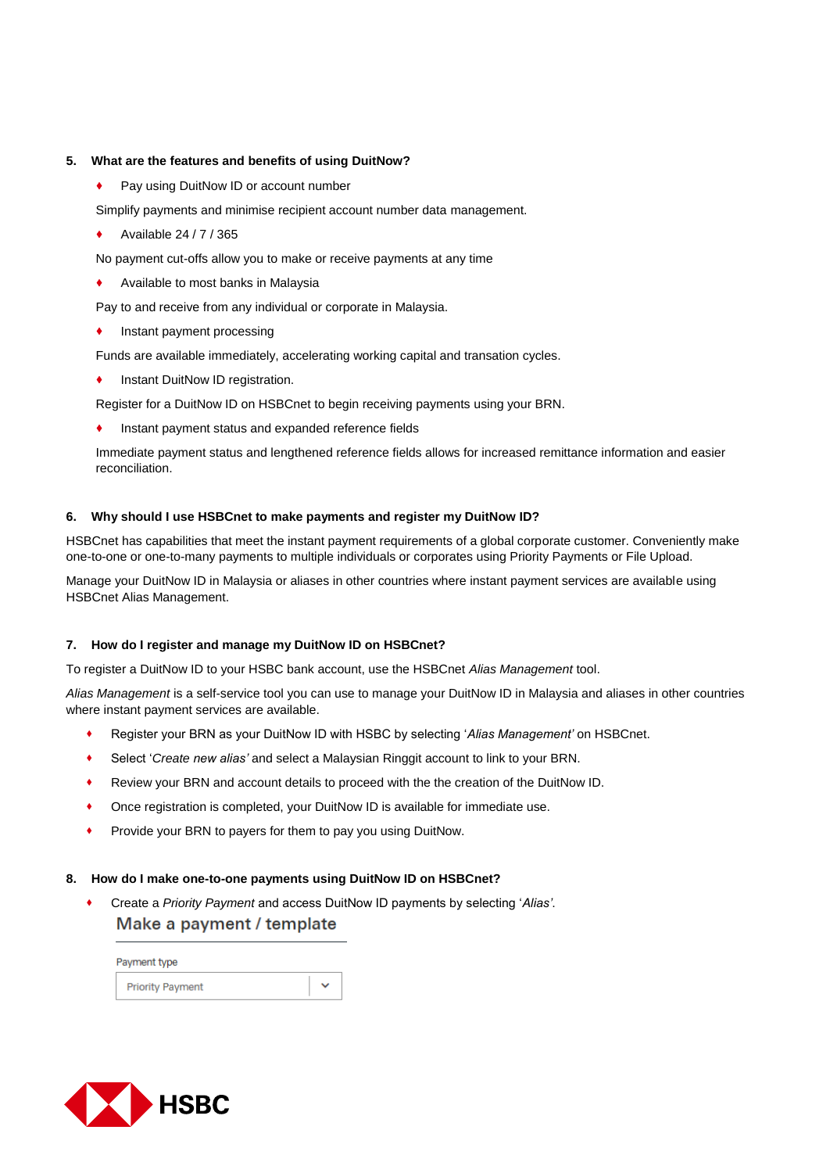### **5. What are the features and benefits of using DuitNow?**

Pay using DuitNow ID or account number

Simplify payments and minimise recipient account number data management.

Available 24 / 7 / 365

No payment cut-offs allow you to make or receive payments at any time

Available to most banks in Malaysia

Pay to and receive from any individual or corporate in Malaysia.

Instant payment processing

Funds are available immediately, accelerating working capital and transation cycles.

Instant DuitNow ID registration.

Register for a DuitNow ID on HSBCnet to begin receiving payments using your BRN.

Instant payment status and expanded reference fields

Immediate payment status and lengthened reference fields allows for increased remittance information and easier reconciliation.

#### **6. Why should I use HSBCnet to make payments and register my DuitNow ID?**

HSBCnet has capabilities that meet the instant payment requirements of a global corporate customer. Conveniently make one-to-one or one-to-many payments to multiple individuals or corporates using Priority Payments or File Upload.

Manage your DuitNow ID in Malaysia or aliases in other countries where instant payment services are available using HSBCnet Alias Management.

# **7. How do I register and manage my DuitNow ID on HSBCnet?**

To register a DuitNow ID to your HSBC bank account, use the HSBCnet *Alias Management* tool.

*Alias Management* is a self-service tool you can use to manage your DuitNow ID in Malaysia and aliases in other countries where instant payment services are available.

- Register your BRN as your DuitNow ID with HSBC by selecting '*Alias Management'* on HSBCnet.
- Select '*Create new alias'* and select a Malaysian Ringgit account to link to your BRN.
- Review your BRN and account details to proceed with the the creation of the DuitNow ID.
- Once registration is completed, your DuitNow ID is available for immediate use.
- Provide your BRN to payers for them to pay you using DuitNow.

#### **8. How do I make one-to-one payments using DuitNow ID on HSBCnet?**

 Create a *Priority Payment* and access DuitNow ID payments by selecting '*Alias'*.Make a payment / template

| Payment type            |  |  |
|-------------------------|--|--|
| <b>Priority Payment</b> |  |  |

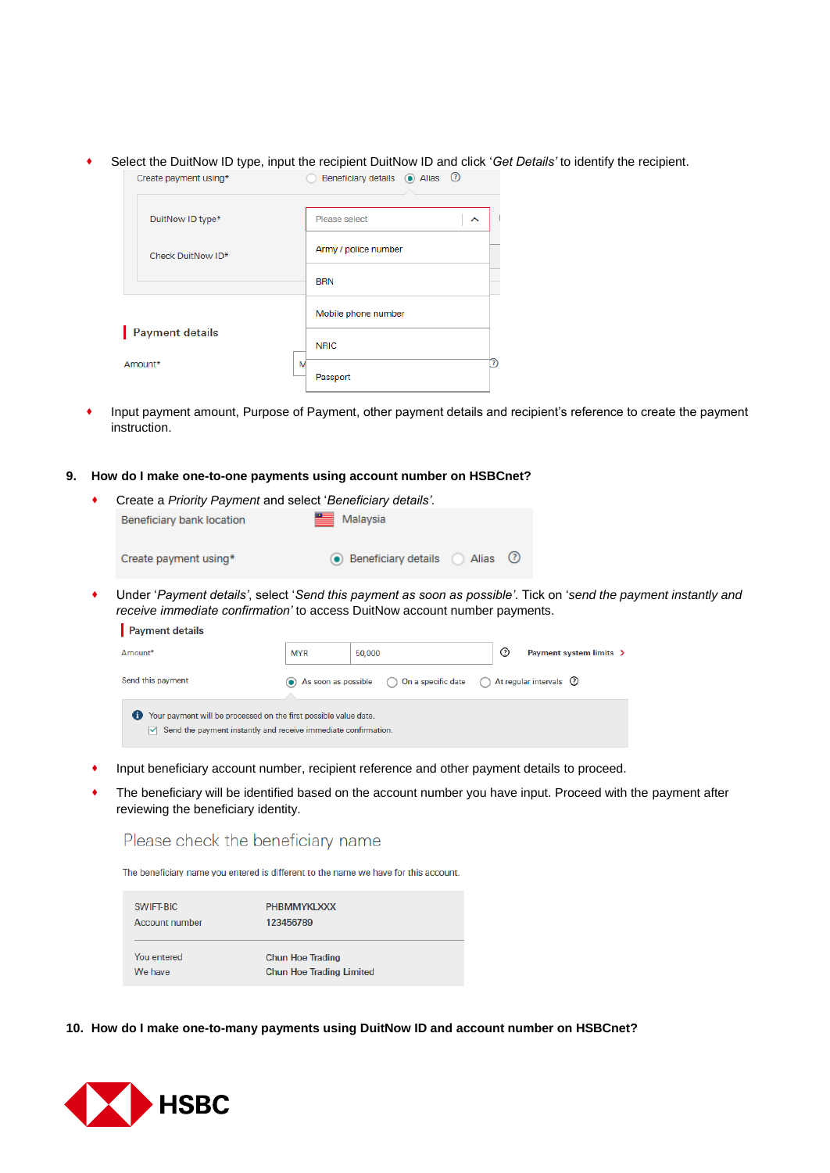Select the DuitNow ID type, input the recipient DuitNow ID and click '*Get Details'* to identify the recipient.

| Create payment using* | Beneficiary details (a) Alias (2) |
|-----------------------|-----------------------------------|
| DuitNow ID type*      | Please select<br>ㅅ                |
| Check DuitNow ID*     | Army / police number              |
|                       | <b>BRN</b>                        |
|                       | Mobile phone number               |
| Payment details       | <b>NRIC</b>                       |
| Amount*               | 7<br>M<br>Passport                |

- Input payment amount, Purpose of Payment, other payment details and recipient's reference to create the payment instruction.
- **9. How do I make one-to-one payments using account number on HSBCnet?**

| ٠ | Create a Priority Payment and select 'Beneficiary details'. |                                                                                       |  |
|---|-------------------------------------------------------------|---------------------------------------------------------------------------------------|--|
|   | Beneficiary bank location                                   | Malaysia                                                                              |  |
|   | Create payment using*                                       | • Beneficiary details (2) Alias (2)                                                   |  |
| ٠ |                                                             | Under 'Payment details', select 'Send this payment as soon as possible'. Tick on 'ser |  |

 Under '*Payment details'*, select '*Send this payment as soon as possible'*. Tick on '*send the payment instantly and receive immediate confirmation'* to access DuitNow account number payments.  $P<sub>oumon</sub>$  detaile

| $\blacksquare$ rayment details                                                                                                                     |                     |        |                                                                          |                         |  |
|----------------------------------------------------------------------------------------------------------------------------------------------------|---------------------|--------|--------------------------------------------------------------------------|-------------------------|--|
| Amount*                                                                                                                                            | <b>MYR</b>          | 50,000 | $\circled{?}$                                                            | Payment system limits > |  |
| Send this payment                                                                                                                                  | As soon as possible |        | $\bigcirc$ On a specific date $\bigcirc$ At regular intervals $\bigcirc$ |                         |  |
| Your payment will be processed on the first possible value date.<br>$\triangledown$ Send the payment instantly and receive immediate confirmation. |                     |        |                                                                          |                         |  |

- Input beneficiary account number, recipient reference and other payment details to proceed.
- The beneficiary will be identified based on the account number you have input. Proceed with the payment after reviewing the beneficiary identity.

# Please check the beneficiary name

The beneficiary name you entered is different to the name we have for this account.

| SWIFT-BIC      | PHBMMYKLXXX                     |
|----------------|---------------------------------|
| Account number | 123456789                       |
| You entered    | <b>Chun Hoe Trading</b>         |
| We have        | <b>Chun Hoe Trading Limited</b> |

**10. How do I make one-to-many payments using DuitNow ID and account number on HSBCnet?**

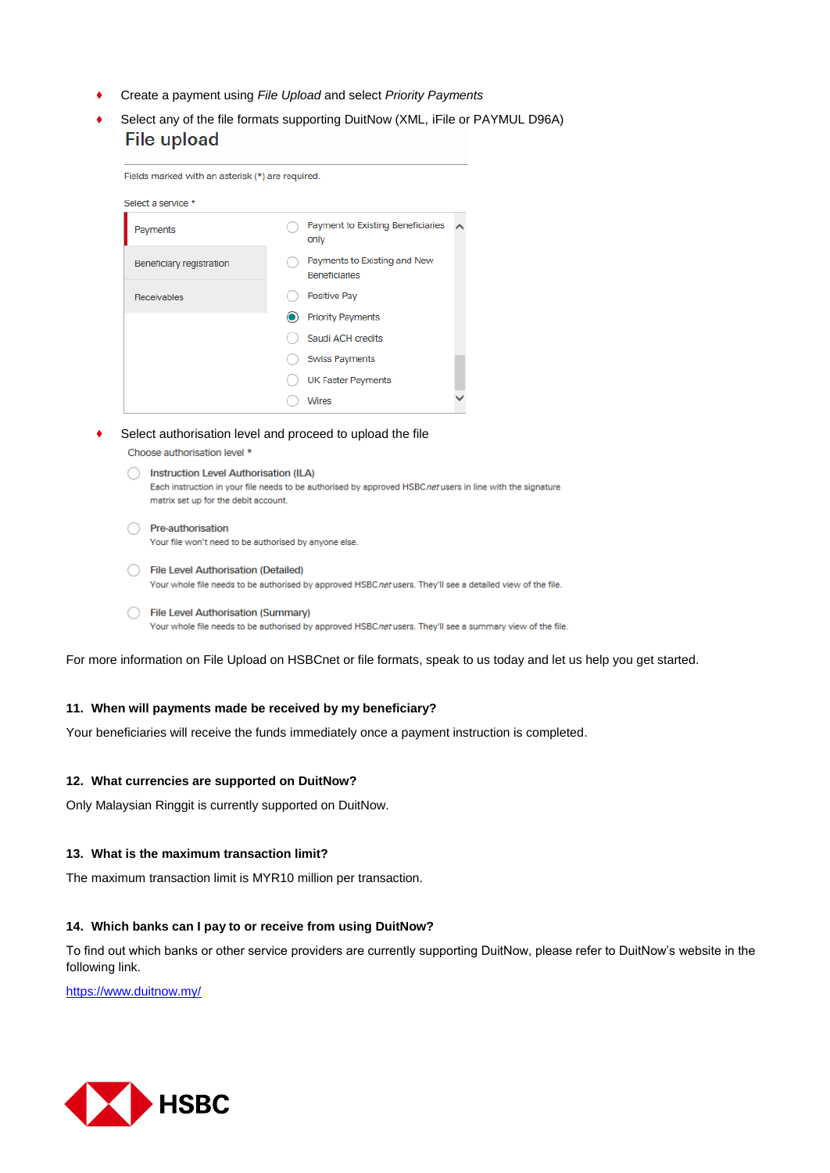- Create a payment using *File Upload* and select *Priority Payments*
- Select any of the file formats supporting DuitNow (XML, iFile or PAYMUL D96A) **File upload**

| Fields marked with an asterisk (*) are required. |                                                      |  |
|--------------------------------------------------|------------------------------------------------------|--|
| Select a service *                               |                                                      |  |
| Payments                                         | <b>Payment to Existing Beneficiaries</b><br>only     |  |
| Beneficiary registration                         | Payments to Existing and New<br><b>Beneficiaries</b> |  |
| Receivables                                      | Positive Pay                                         |  |
|                                                  | <b>Priority Payments</b>                             |  |
|                                                  | Saudi ACH credits                                    |  |
|                                                  | <b>Swiss Payments</b>                                |  |
|                                                  | <b>UK Faster Payments</b>                            |  |
|                                                  | <b>Wires</b>                                         |  |

Select authorisation level and proceed to upload the file

Choose authorisation level \*

nstruction Level Authorisation (ILA) Each instruction in your file needs to be authorised by approved HSBCnet users in line with the signature matrix set up for the debit account. ◯ Pre-authorisation

Your file won't need to be authorised by anyone else

- File Level Authorisation (Detailed) Your whole file needs to be authorised by approved HSBCnet users. They'll see a detailed view of the file.
- File Level Authorisation (Summary) Your whole file needs to be authorised by approved HSBCnet users. They'll see a summary view of the file.

For more information on File Upload on HSBCnet or file formats, speak to us today and let us help you get started.

#### **11. When will payments made be received by my beneficiary?**

Your beneficiaries will receive the funds immediately once a payment instruction is completed.

#### **12. What currencies are supported on DuitNow?**

Only Malaysian Ringgit is currently supported on DuitNow.

#### **13. What is the maximum transaction limit?**

The maximum transaction limit is MYR10 million per transaction.

#### **14. Which banks can I pay to or receive from using DuitNow?**

To find out which banks or other service providers are currently supporting DuitNow, please refer to DuitNow's website in the following link.

<https://www.duitnow.my/>

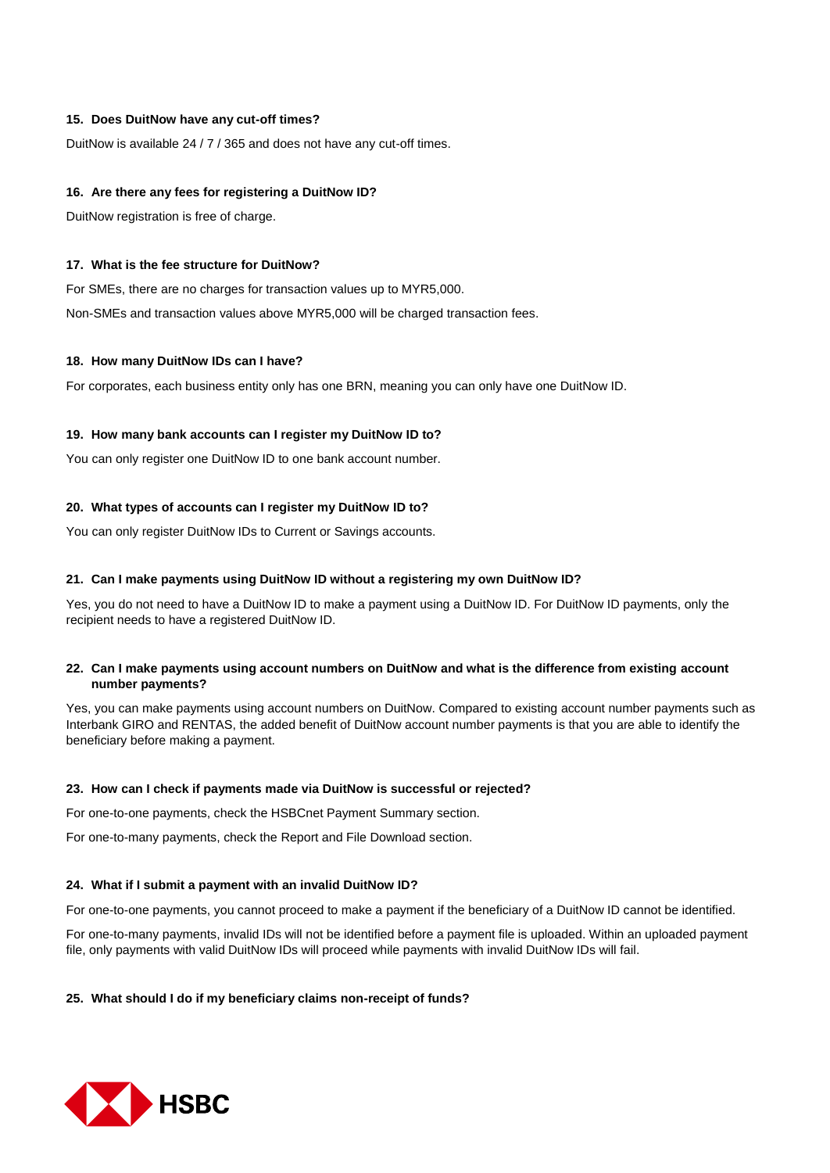#### **15. Does DuitNow have any cut-off times?**

DuitNow is available 24 / 7 / 365 and does not have any cut-off times.

#### **16. Are there any fees for registering a DuitNow ID?**

DuitNow registration is free of charge.

#### **17. What is the fee structure for DuitNow?**

For SMEs, there are no charges for transaction values up to MYR5,000. Non-SMEs and transaction values above MYR5,000 will be charged transaction fees.

#### **18. How many DuitNow IDs can I have?**

For corporates, each business entity only has one BRN, meaning you can only have one DuitNow ID.

#### **19. How many bank accounts can I register my DuitNow ID to?**

You can only register one DuitNow ID to one bank account number.

#### **20. What types of accounts can I register my DuitNow ID to?**

You can only register DuitNow IDs to Current or Savings accounts.

#### **21. Can I make payments using DuitNow ID without a registering my own DuitNow ID?**

Yes, you do not need to have a DuitNow ID to make a payment using a DuitNow ID. For DuitNow ID payments, only the recipient needs to have a registered DuitNow ID.

#### **22. Can I make payments using account numbers on DuitNow and what is the difference from existing account number payments?**

Yes, you can make payments using account numbers on DuitNow. Compared to existing account number payments such as Interbank GIRO and RENTAS, the added benefit of DuitNow account number payments is that you are able to identify the beneficiary before making a payment.

#### **23. How can I check if payments made via DuitNow is successful or rejected?**

For one-to-one payments, check the HSBCnet Payment Summary section.

For one-to-many payments, check the Report and File Download section.

#### **24. What if I submit a payment with an invalid DuitNow ID?**

For one-to-one payments, you cannot proceed to make a payment if the beneficiary of a DuitNow ID cannot be identified.

For one-to-many payments, invalid IDs will not be identified before a payment file is uploaded. Within an uploaded payment file, only payments with valid DuitNow IDs will proceed while payments with invalid DuitNow IDs will fail.

# **25. What should I do if my beneficiary claims non-receipt of funds?**